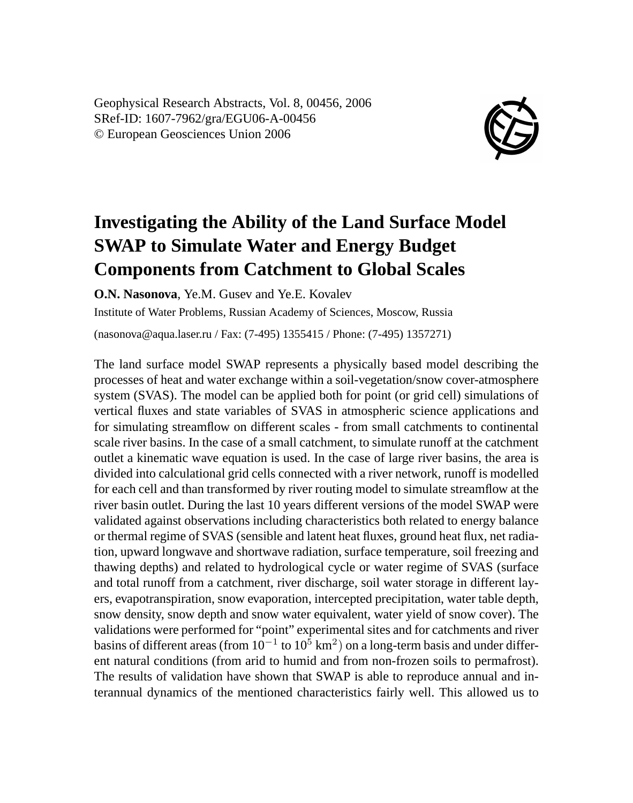Geophysical Research Abstracts, Vol. 8, 00456, 2006 SRef-ID: 1607-7962/gra/EGU06-A-00456 © European Geosciences Union 2006



## **Investigating the Ability of the Land Surface Model SWAP to Simulate Water and Energy Budget Components from Catchment to Global Scales**

**O.N. Nasonova**, Ye.M. Gusev and Ye.E. Kovalev

Institute of Water Problems, Russian Academy of Sciences, Moscow, Russia

(nasonova@aqua.laser.ru / Fax: (7-495) 1355415 / Phone: (7-495) 1357271)

The land surface model SWAP represents a physically based model describing the processes of heat and water exchange within a soil-vegetation/snow cover-atmosphere system (SVAS). The model can be applied both for point (or grid cell) simulations of vertical fluxes and state variables of SVAS in atmospheric science applications and for simulating streamflow on different scales - from small catchments to continental scale river basins. In the case of a small catchment, to simulate runoff at the catchment outlet a kinematic wave equation is used. In the case of large river basins, the area is divided into calculational grid cells connected with a river network, runoff is modelled for each cell and than transformed by river routing model to simulate streamflow at the river basin outlet. During the last 10 years different versions of the model SWAP were validated against observations including characteristics both related to energy balance or thermal regime of SVAS (sensible and latent heat fluxes, ground heat flux, net radiation, upward longwave and shortwave radiation, surface temperature, soil freezing and thawing depths) and related to hydrological cycle or water regime of SVAS (surface and total runoff from a catchment, river discharge, soil water storage in different layers, evapotranspiration, snow evaporation, intercepted precipitation, water table depth, snow density, snow depth and snow water equivalent, water yield of snow cover). The validations were performed for "point" experimental sites and for catchments and river basins of different areas (from  $10^{-1}$  to  $10^5$  km<sup>2</sup>) on a long-term basis and under different natural conditions (from arid to humid and from non-frozen soils to permafrost). The results of validation have shown that SWAP is able to reproduce annual and interannual dynamics of the mentioned characteristics fairly well. This allowed us to